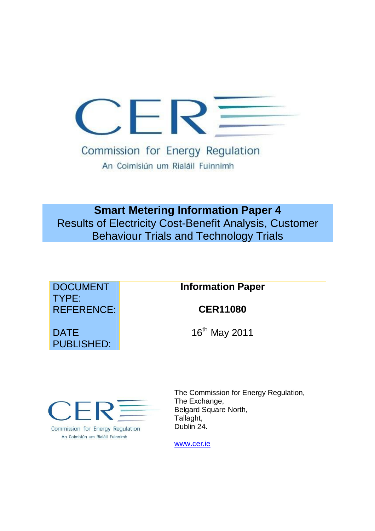

Commission for Energy Regulation An Coimisiún um Rialáil Fuinnimh

**Smart Metering Information Paper 4** Results of Electricity Cost-Benefit Analysis, Customer Behaviour Trials and Technology Trials

| <b>DOCUMENT</b><br>TYPE:         | <b>Information Paper</b> |
|----------------------------------|--------------------------|
| <b>REFERENCE:</b>                | <b>CER11080</b>          |
| <b>DATE</b><br><b>PUBLISHED:</b> | $16^{th}$ May 2011       |



Commission for Energy Regulation An Coimisiún um Rialáil Fuinnimh

The Commission for Energy Regulation, The Exchange, Belgard Square North, Tallaght, Dublin 24.

www.cer.ie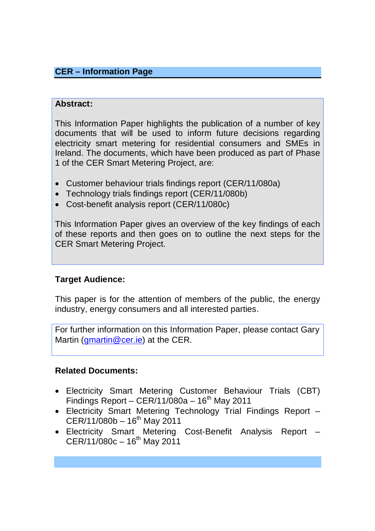## **CER – Information Page**

## **Abstract:**

This Information Paper highlights the publication of a number of key documents that will be used to inform future decisions regarding electricity smart metering for residential consumers and SMEs in Ireland. The documents, which have been produced as part of Phase 1 of the CER Smart Metering Project, are:

- Customer behaviour trials findings report (CER/11/080a)
- Technology trials findings report (CER/11/080b)
- Cost-benefit analysis report (CER/11/080c)

This Information Paper gives an overview of the key findings of each of these reports and then goes on to outline the next steps for the CER Smart Metering Project.

## **Target Audience:**

This paper is for the attention of members of the public, the energy industry, energy consumers and all interested parties.

For further information on this Information Paper, please contact Gary Martin (*gmartin@cer.ie*) at the CER.

## **Related Documents:**

- Electricity Smart Metering Customer Behaviour Trials (CBT) Findings Report  $-$  CER/11/080a  $-$  16<sup>th</sup> May 2011
- Electricity Smart Metering Technology Trial Findings Report  $CER/11/080b - 16<sup>th</sup>$  May 2011
- Electricity Smart Metering Cost-Benefit Analysis Report  $CER/11/080c - 16<sup>th</sup>$  May 2011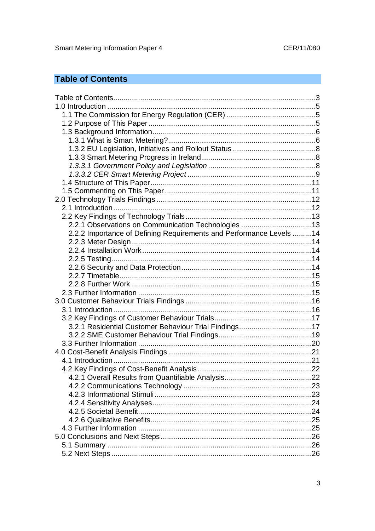# **Table of Contents**

| 2.2.1 Observations on Communication Technologies  13                 |  |
|----------------------------------------------------------------------|--|
| 2.2.2 Importance of Defining Requirements and Performance Levels  14 |  |
|                                                                      |  |
|                                                                      |  |
|                                                                      |  |
|                                                                      |  |
|                                                                      |  |
|                                                                      |  |
|                                                                      |  |
|                                                                      |  |
|                                                                      |  |
|                                                                      |  |
| 3.2.1 Residential Customer Behaviour Trial Findings17                |  |
|                                                                      |  |
|                                                                      |  |
|                                                                      |  |
|                                                                      |  |
|                                                                      |  |
|                                                                      |  |
|                                                                      |  |
|                                                                      |  |
|                                                                      |  |
|                                                                      |  |
|                                                                      |  |
|                                                                      |  |
|                                                                      |  |
|                                                                      |  |
|                                                                      |  |
|                                                                      |  |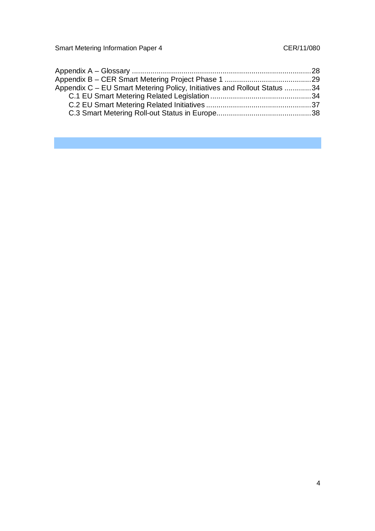| Appendix C – EU Smart Metering Policy, Initiatives and Rollout Status 34 |  |
|--------------------------------------------------------------------------|--|
|                                                                          |  |
|                                                                          |  |
|                                                                          |  |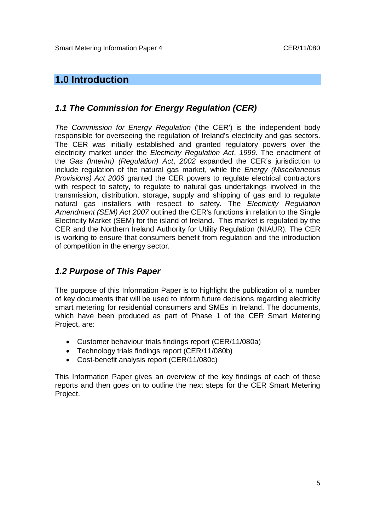## **1.0 Introduction**

## *1.1 The Commission for Energy Regulation (CER)*

*The Commission for Energy Regulation* ('the CER') is the independent body responsible for overseeing the regulation of Ireland's electricity and gas sectors. The CER was initially established and granted regulatory powers over the electricity market under the *Electricity Regulation Act*, *1999*. The enactment of the *Gas (Interim) (Regulation) Act*, *2002* expanded the CER's jurisdiction to include regulation of the natural gas market, while the *Energy (Miscellaneous Provisions) Act 2006* granted the CER powers to regulate electrical contractors with respect to safety, to regulate to natural gas undertakings involved in the transmission, distribution, storage, supply and shipping of gas and to regulate natural gas installers with respect to safety. The *Electricity Regulation Amendment (SEM) Act 2007* outlined the CER's functions in relation to the Single Electricity Market (SEM) for the island of Ireland. This market is regulated by the CER and the Northern Ireland Authority for Utility Regulation (NIAUR). The CER is working to ensure that consumers benefit from regulation and the introduction of competition in the energy sector.

### *1.2 Purpose of This Paper*

The purpose of this Information Paper is to highlight the publication of a number of key documents that will be used to inform future decisions regarding electricity smart metering for residential consumers and SMEs in Ireland. The documents, which have been produced as part of Phase 1 of the CER Smart Metering Project, are:

- Customer behaviour trials findings report (CER/11/080a)
- Technology trials findings report (CER/11/080b)
- Cost-benefit analysis report (CER/11/080c)

This Information Paper gives an overview of the key findings of each of these reports and then goes on to outline the next steps for the CER Smart Metering Project.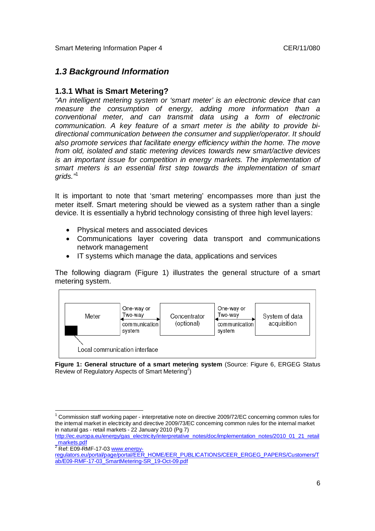### *1.3 Background Information*

### **1.3.1 What is Smart Metering?**

*"An intelligent metering system or 'smart meter' is an electronic device that can measure the consumption of energy, adding more information than a conventional meter, and can transmit data using a form of electronic communication. A key feature of a smart meter is the ability to provide bidirectional communication between the consumer and supplier/operator. It should also promote services that facilitate energy efficiency within the home. The move from old, isolated and static metering devices towards new smart/active devices is an important issue for competition in energy markets. The implementation of smart meters is an essential first step towards the implementation of smart*  arids."<sup>1</sup>

It is important to note that 'smart metering' encompasses more than just the meter itself. Smart metering should be viewed as a system rather than a single device. It is essentially a hybrid technology consisting of three high level layers:

- Physical meters and associated devices
- Communications layer covering data transport and communications network management
- IT systems which manage the data, applications and services

The following diagram (Figure 1) illustrates the general structure of a smart metering system.



**Figure 1: General structure of a smart metering system** (Source: Figure 6, ERGEG Status Review of Regulatory Aspects of Smart Metering<sup>2</sup>)

 $\overline{a}$  $1$  Commission staff working paper - interpretative note on directive 2009/72/EC concerning common rules for the internal market in electricity and directive 2009/73/EC concerning common rules for the internal market in natural gas - retail markets - 22 January 2010 (Pg 7)

http://ec.europa.eu/energy/gas\_electricity/interpretative\_notes/doc/implementation\_notes/2010\_01\_21\_retail \_markets.pdf

<sup>&</sup>lt;u>Illianers.put</u><br><sup>2</sup> Ref: E09-RMF-17-03 www.energy

regulators.eu/portal/page/portal/EER\_HOME/EER\_PUBLICATIONS/CEER\_ERGEG\_PAPERS/Customers/T ab/E09-RMF-17-03\_SmartMetering-SR\_19-Oct-09.pdf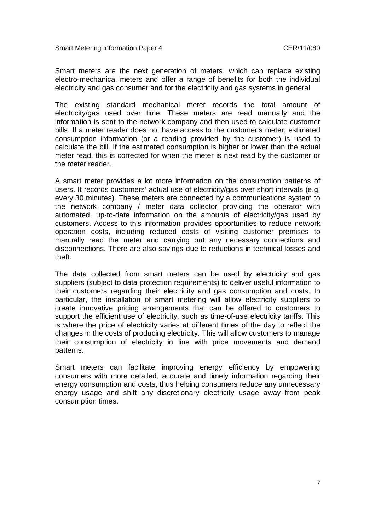Smart meters are the next generation of meters, which can replace existing electro-mechanical meters and offer a range of benefits for both the individual electricity and gas consumer and for the electricity and gas systems in general.

The existing standard mechanical meter records the total amount of electricity/gas used over time. These meters are read manually and the information is sent to the network company and then used to calculate customer bills. If a meter reader does not have access to the customer's meter, estimated consumption information (or a reading provided by the customer) is used to calculate the bill. If the estimated consumption is higher or lower than the actual meter read, this is corrected for when the meter is next read by the customer or the meter reader.

A smart meter provides a lot more information on the consumption patterns of users. It records customers' actual use of electricity/gas over short intervals (e.g. every 30 minutes). These meters are connected by a communications system to the network company / meter data collector providing the operator with automated, up-to-date information on the amounts of electricity/gas used by customers. Access to this information provides opportunities to reduce network operation costs, including reduced costs of visiting customer premises to manually read the meter and carrying out any necessary connections and disconnections. There are also savings due to reductions in technical losses and theft.

The data collected from smart meters can be used by electricity and gas suppliers (subject to data protection requirements) to deliver useful information to their customers regarding their electricity and gas consumption and costs. In particular, the installation of smart metering will allow electricity suppliers to create innovative pricing arrangements that can be offered to customers to support the efficient use of electricity, such as time-of-use electricity tariffs. This is where the price of electricity varies at different times of the day to reflect the changes in the costs of producing electricity. This will allow customers to manage their consumption of electricity in line with price movements and demand patterns.

Smart meters can facilitate improving energy efficiency by empowering consumers with more detailed, accurate and timely information regarding their energy consumption and costs, thus helping consumers reduce any unnecessary energy usage and shift any discretionary electricity usage away from peak consumption times.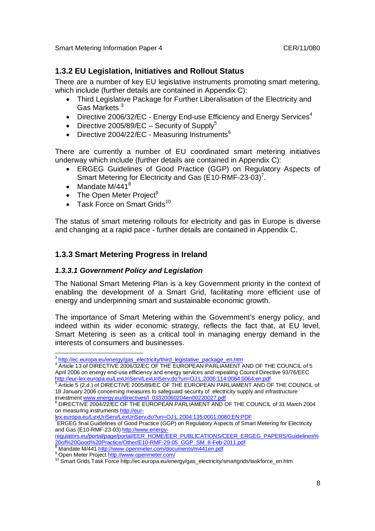### **1.3.2 EU Legislation, Initiatives and Rollout Status**

There are a number of key EU legislative instruments promoting smart metering, which include (further details are contained in Appendix C):

- Third Legislative Package for Further Liberalisation of the Electricity and Gas Markets <sup>3</sup>
- Directive 2006/32/EC Energy End-use Efficiency and Energy Services<sup>4</sup>
- Directive 2005/89/EC Security of Supply<sup>5</sup>
- Directive 2004/22/EC Measuring Instruments $6$

There are currently a number of EU coordinated smart metering initiatives underway which include (further details are contained in Appendix C):

- ERGEG Guidelines of Good Practice (GGP) on Regulatory Aspects of Smart Metering for Electricity and Gas (E10-RMF-23-03)<sup>7</sup>.
- Mandate  $M/441^8$
- $\bullet$  The Open Meter Project<sup>9</sup>
- $\bullet$  Task Force on Smart Grids<sup>10</sup>

The status of smart metering rollouts for electricity and gas in Europe is diverse and changing at a rapid pace - further details are contained in Appendix C.

### **1.3.3 Smart Metering Progress in Ireland**

#### *1.3.3.1 Government Policy and Legislation*

The National Smart Metering Plan is a key Government priority in the context of enabling the development of a Smart Grid, facilitating more efficient use of energy and underpinning smart and sustainable economic growth.

The importance of Smart Metering within the Government's energy policy, and indeed within its wider economic strategy, reflects the fact that, at EU level, Smart Metering is seen as a critical tool in managing energy demand in the interests of consumers and businesses.

 3

<sup>4</sup> Article 13 of DIRECTIVE 2006/32/EC OF THE EUROPEAN PARLIAMENT AND OF THE COUNCIL of 5 April 2006 on energy end-use efficiency and energy services and repealing Council Directive 93/76/EEC http://eur-lex.europa.eu/LexUriServ/LexUriServ.do?uri=OJ:L:2006:114:0064:0064:en:pdf

<sup>&</sup>lt;sup>5</sup> Article 5 (2.d.) of DIRECTIVE 2005/89/EC OF THE EUROPEAN PARLIAMENT AND OF THE COUNCIL of 18 January 2006 concerning measures to safeguard security of electricity supply and infrastructure investment www.energy.eu/directives/l\_03320060204en00220027.pdf

 $6$  DIRECTIVE 2004/22/EC OF THE EUROPEAN PARLIAMENT AND OF THE COUNCIL of 31 March 2004 on measuring instruments http://eur-

lex.europa.eu/LexUriServ/LexUriServ.do?uri=OJ:L:2004:135:0001:0080:EN:PDF

<sup>&</sup>lt;sup>7</sup>ERGEG final Guidelines of Good Practice (GGP) on Regulatory Aspects of Smart Metering for Electricity and Gas (E10-RMF-23-03) http://www.energy-

regulators.eu/portal/page/portal/EER\_HOME/EER\_PUBLICATIONS/CEER\_ERGEG\_PAPERS/Guidelines% 20of%20Good%20Practice/Other/E10-RMF-29-05\_GGP\_SM\_8-Feb-2011.pdf

<sup>8</sup> Mandate M/441 http://www.openmeter.com/documents/m441en.pdf <sup>9</sup> Open Meter Project http://www.openmeter.com/

<sup>10</sup> Smart Grids Task Force http://ec.europa.eu/energy/gas\_electricity/smartgrids/taskforce\_en.htm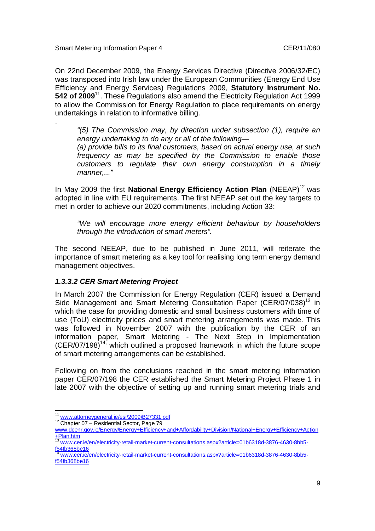.

On 22nd December 2009, the Energy Services Directive (Directive 2006/32/EC) was transposed into Irish law under the European Communities (Energy End Use Efficiency and Energy Services) Regulations 2009, **Statutory Instrument No. 542 of 2009**<sup>11</sup>. These Regulations also amend the Electricity Regulation Act 1999 to allow the Commission for Energy Regulation to place requirements on energy undertakings in relation to informative billing.

*"(5) The Commission may, by direction under subsection (1), require an energy undertaking to do any or all of the following— (a) provide bills to its final customers, based on actual energy use, at such frequency as may be specified by the Commission to enable those customers to regulate their own energy consumption in a timely manner,..."*

In May 2009 the first **National Energy Efficiency Action Plan** (NEEAP)<sup>12</sup> was adopted in line with EU requirements. The first NEEAP set out the key targets to met in order to achieve our 2020 commitments, including Action 33:

*"We will encourage more energy efficient behaviour by householders through the introduction of smart meters".*

The second NEEAP, due to be published in June 2011, will reiterate the importance of smart metering as a key tool for realising long term energy demand management objectives.

#### *1.3.3.2 CER Smart Metering Project*

In March 2007 the Commission for Energy Regulation (CER) issued a Demand Side Management and Smart Metering Consultation Paper (CER/07/038)<sup>13</sup> in which the case for providing domestic and small business customers with time of use (ToU) electricity prices and smart metering arrangements was made. This was followed in November 2007 with the publication by the CER of an information paper, Smart Metering - The Next Step in Implementation  $(CER/07/198)^{14}$ , which outlined a proposed framework in which the future scope of smart metering arrangements can be established.

Following on from the conclusions reached in the smart metering information paper CER/07/198 the CER established the Smart Metering Project Phase 1 in late 2007 with the objective of setting up and running smart metering trials and

 $\overline{a}$ 

<sup>&</sup>lt;sup>11</sup> www.attorneygeneral.ie/esi/2009/B27331.pdf

<sup>&</sup>lt;sup>12</sup> Chapter 07 – Residential Sector, Page 79

www.dcenr.gov.ie/Energy/Energy+Efficiency+and+Affordability+Division/National+Energy+Efficiency+Action +Plan.htm

<sup>&</sup>lt;sup>13</sup> www.cer.ie/en/electricity-retail-market-current-consultations.aspx?article=01b6318d-3876-4630-8bb5f54fb368be16

www.cer.ie/en/electricity-retail-market-current-consultations.aspx?article=01b6318d-3876-4630-8bb5f54fb368be16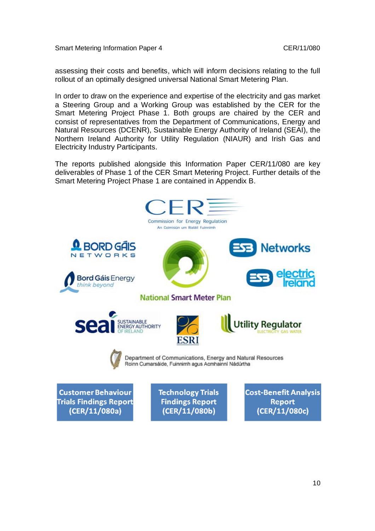assessing their costs and benefits, which will inform decisions relating to the full rollout of an optimally designed universal National Smart Metering Plan.

In order to draw on the experience and expertise of the electricity and gas market a Steering Group and a Working Group was established by the CER for the Smart Metering Project Phase 1. Both groups are chaired by the CER and consist of representatives from the Department of Communications, Energy and Natural Resources (DCENR), Sustainable Energy Authority of Ireland (SEAI), the Northern Ireland Authority for Utility Regulation (NIAUR) and Irish Gas and Electricity Industry Participants.

The reports published alongside this Information Paper CER/11/080 are key deliverables of Phase 1 of the CER Smart Metering Project. Further details of the Smart Metering Project Phase 1 are contained in Appendix B.

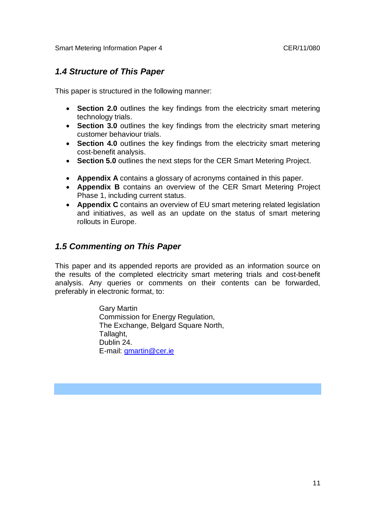## *1.4 Structure of This Paper*

This paper is structured in the following manner:

- **Section 2.0** outlines the key findings from the electricity smart metering technology trials.
- **Section 3.0** outlines the key findings from the electricity smart metering customer behaviour trials.
- **Section 4.0** outlines the key findings from the electricity smart metering cost-benefit analysis.
- **Section 5.0** outlines the next steps for the CER Smart Metering Project.
- **Appendix A** contains a glossary of acronyms contained in this paper.
- **Appendix B** contains an overview of the CER Smart Metering Project Phase 1, including current status.
- **Appendix C** contains an overview of EU smart metering related legislation and initiatives, as well as an update on the status of smart metering rollouts in Europe.

## *1.5 Commenting on This Paper*

This paper and its appended reports are provided as an information source on the results of the completed electricity smart metering trials and cost-benefit analysis. Any queries or comments on their contents can be forwarded, preferably in electronic format, to:

> Gary Martin Commission for Energy Regulation, The Exchange, Belgard Square North, Tallaght, Dublin 24. E-mail: gmartin@cer.ie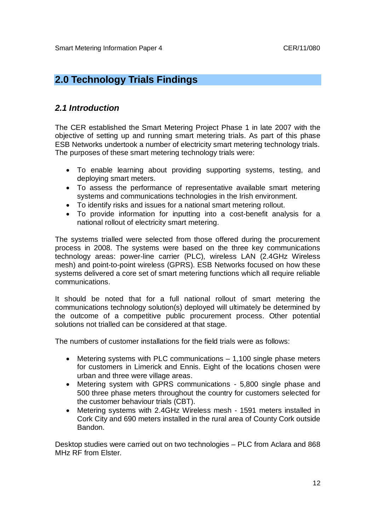# **2.0 Technology Trials Findings**

### *2.1 Introduction*

The CER established the Smart Metering Project Phase 1 in late 2007 with the objective of setting up and running smart metering trials. As part of this phase ESB Networks undertook a number of electricity smart metering technology trials. The purposes of these smart metering technology trials were:

- To enable learning about providing supporting systems, testing, and deploying smart meters.
- To assess the performance of representative available smart metering systems and communications technologies in the Irish environment.
- To identify risks and issues for a national smart metering rollout.
- To provide information for inputting into a cost-benefit analysis for a national rollout of electricity smart metering.

The systems trialled were selected from those offered during the procurement process in 2008. The systems were based on the three key communications technology areas: power-line carrier (PLC), wireless LAN (2.4GHz Wireless mesh) and point-to-point wireless (GPRS). ESB Networks focused on how these systems delivered a core set of smart metering functions which all require reliable communications.

It should be noted that for a full national rollout of smart metering the communications technology solution(s) deployed will ultimately be determined by the outcome of a competitive public procurement process. Other potential solutions not trialled can be considered at that stage.

The numbers of customer installations for the field trials were as follows:

- Metering systems with PLC communications 1,100 single phase meters for customers in Limerick and Ennis. Eight of the locations chosen were urban and three were village areas.
- Metering system with GPRS communications 5,800 single phase and 500 three phase meters throughout the country for customers selected for the customer behaviour trials (CBT).
- Metering systems with 2.4GHz Wireless mesh 1591 meters installed in Cork City and 690 meters installed in the rural area of County Cork outside Bandon.

Desktop studies were carried out on two technologies – PLC from Aclara and 868 MHz RF from Elster.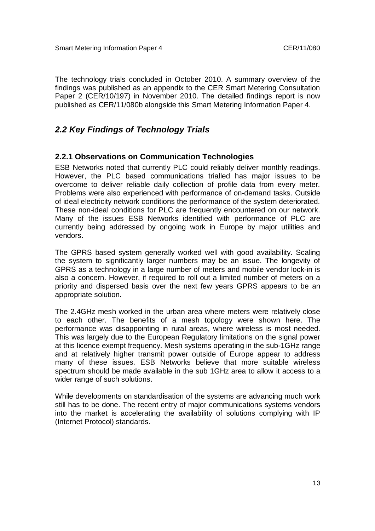The technology trials concluded in October 2010. A summary overview of the findings was published as an appendix to the CER Smart Metering Consultation Paper 2 (CER/10/197) in November 2010. The detailed findings report is now published as CER/11/080b alongside this Smart Metering Information Paper 4.

### *2.2 Key Findings of Technology Trials*

#### **2.2.1 Observations on Communication Technologies**

ESB Networks noted that currently PLC could reliably deliver monthly readings. However, the PLC based communications trialled has major issues to be overcome to deliver reliable daily collection of profile data from every meter. Problems were also experienced with performance of on-demand tasks. Outside of ideal electricity network conditions the performance of the system deteriorated. These non-ideal conditions for PLC are frequently encountered on our network. Many of the issues ESB Networks identified with performance of PLC are currently being addressed by ongoing work in Europe by major utilities and vendors.

The GPRS based system generally worked well with good availability. Scaling the system to significantly larger numbers may be an issue. The longevity of GPRS as a technology in a large number of meters and mobile vendor lock-in is also a concern. However, if required to roll out a limited number of meters on a priority and dispersed basis over the next few years GPRS appears to be an appropriate solution.

The 2.4GHz mesh worked in the urban area where meters were relatively close to each other. The benefits of a mesh topology were shown here. The performance was disappointing in rural areas, where wireless is most needed. This was largely due to the European Regulatory limitations on the signal power at this licence exempt frequency. Mesh systems operating in the sub-1GHz range and at relatively higher transmit power outside of Europe appear to address many of these issues. ESB Networks believe that more suitable wireless spectrum should be made available in the sub 1GHz area to allow it access to a wider range of such solutions.

While developments on standardisation of the systems are advancing much work still has to be done. The recent entry of major communications systems vendors into the market is accelerating the availability of solutions complying with IP (Internet Protocol) standards.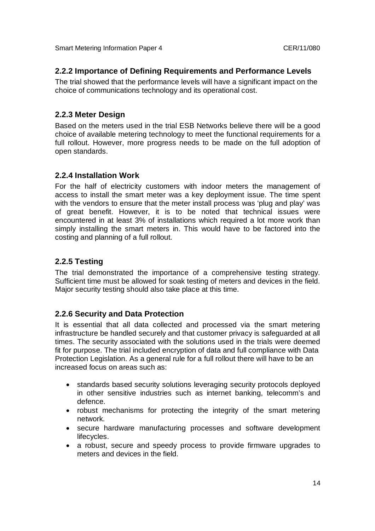### **2.2.2 Importance of Defining Requirements and Performance Levels**

The trial showed that the performance levels will have a significant impact on the choice of communications technology and its operational cost.

### **2.2.3 Meter Design**

Based on the meters used in the trial ESB Networks believe there will be a good choice of available metering technology to meet the functional requirements for a full rollout. However, more progress needs to be made on the full adoption of open standards.

### **2.2.4 Installation Work**

For the half of electricity customers with indoor meters the management of access to install the smart meter was a key deployment issue. The time spent with the vendors to ensure that the meter install process was 'plug and play' was of great benefit. However, it is to be noted that technical issues were encountered in at least 3% of installations which required a lot more work than simply installing the smart meters in. This would have to be factored into the costing and planning of a full rollout.

### **2.2.5 Testing**

The trial demonstrated the importance of a comprehensive testing strategy. Sufficient time must be allowed for soak testing of meters and devices in the field. Major security testing should also take place at this time.

### **2.2.6 Security and Data Protection**

It is essential that all data collected and processed via the smart metering infrastructure be handled securely and that customer privacy is safeguarded at all times. The security associated with the solutions used in the trials were deemed fit for purpose. The trial included encryption of data and full compliance with Data Protection Legislation. As a general rule for a full rollout there will have to be an increased focus on areas such as:

- standards based security solutions leveraging security protocols deployed in other sensitive industries such as internet banking, telecomm's and defence.
- robust mechanisms for protecting the integrity of the smart metering network.
- secure hardware manufacturing processes and software development lifecycles.
- a robust, secure and speedy process to provide firmware upgrades to meters and devices in the field.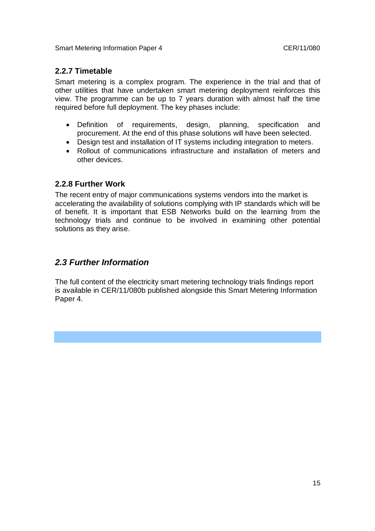### **2.2.7 Timetable**

Smart metering is a complex program. The experience in the trial and that of other utilities that have undertaken smart metering deployment reinforces this view. The programme can be up to 7 years duration with almost half the time required before full deployment. The key phases include:

- Definition of requirements, design, planning, specification and procurement. At the end of this phase solutions will have been selected.
- Design test and installation of IT systems including integration to meters.
- Rollout of communications infrastructure and installation of meters and other devices.

### **2.2.8 Further Work**

The recent entry of major communications systems vendors into the market is accelerating the availability of solutions complying with IP standards which will be of benefit. It is important that ESB Networks build on the learning from the technology trials and continue to be involved in examining other potential solutions as they arise.

### *2.3 Further Information*

The full content of the electricity smart metering technology trials findings report is available in CER/11/080b published alongside this Smart Metering Information Paper 4.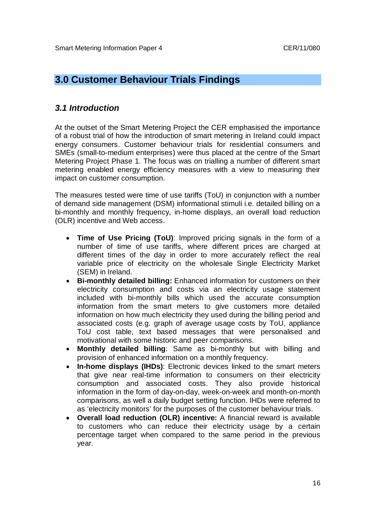## **3.0 Customer Behaviour Trials Findings**

### *3.1 Introduction*

At the outset of the Smart Metering Project the CER emphasised the importance of a robust trial of how the introduction of smart metering in Ireland could impact energy consumers. Customer behaviour trials for residential consumers and SMEs (small-to-medium enterprises) were thus placed at the centre of the Smart Metering Project Phase 1. The focus was on trialling a number of different smart metering enabled energy efficiency measures with a view to measuring their impact on customer consumption.

The measures tested were time of use tariffs (ToU) in conjunction with a number of demand side management (DSM) informational stimuli i.e. detailed billing on a bi-monthly and monthly frequency, in-home displays, an overall load reduction (OLR) incentive and Web access.

- **Time of Use Pricing (ToU)**: Improved pricing signals in the form of a number of time of use tariffs, where different prices are charged at different times of the day in order to more accurately reflect the real variable price of electricity on the wholesale Single Electricity Market (SEM) in Ireland.
- **Bi-monthly detailed billing:** Enhanced information for customers on their electricity consumption and costs via an electricity usage statement included with bi-monthly bills which used the accurate consumption information from the smart meters to give customers more detailed information on how much electricity they used during the billing period and associated costs (e.g. graph of average usage costs by ToU, appliance ToU cost table, text based messages that were personalised and motivational with some historic and peer comparisons.
- **Monthly detailed billing**: Same as bi-monthly but with billing and provision of enhanced information on a monthly frequency.
- **In-home displays (IHDs)**: Electronic devices linked to the smart meters that give near real-time information to consumers on their electricity consumption and associated costs. They also provide historical information in the form of day-on-day, week-on-week and month-on-month comparisons, as well a daily budget setting function. IHDs were referred to as 'electricity monitors' for the purposes of the customer behaviour trials.
- **Overall load reduction (OLR) incentive:** A financial reward is available to customers who can reduce their electricity usage by a certain percentage target when compared to the same period in the previous year.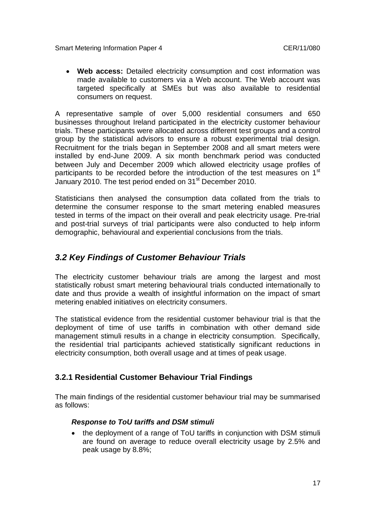**Web access:** Detailed electricity consumption and cost information was made available to customers via a Web account. The Web account was targeted specifically at SMEs but was also available to residential consumers on request.

A representative sample of over 5,000 residential consumers and 650 businesses throughout Ireland participated in the electricity customer behaviour trials. These participants were allocated across different test groups and a control group by the statistical advisors to ensure a robust experimental trial design. Recruitment for the trials began in September 2008 and all smart meters were installed by end-June 2009. A six month benchmark period was conducted between July and December 2009 which allowed electricity usage profiles of participants to be recorded before the introduction of the test measures on 1<sup>st</sup> January 2010. The test period ended on 31<sup>st</sup> December 2010.

Statisticians then analysed the consumption data collated from the trials to determine the consumer response to the smart metering enabled measures tested in terms of the impact on their overall and peak electricity usage. Pre-trial and post-trial surveys of trial participants were also conducted to help inform demographic, behavioural and experiential conclusions from the trials.

## *3.2 Key Findings of Customer Behaviour Trials*

The electricity customer behaviour trials are among the largest and most statistically robust smart metering behavioural trials conducted internationally to date and thus provide a wealth of insightful information on the impact of smart metering enabled initiatives on electricity consumers.

The statistical evidence from the residential customer behaviour trial is that the deployment of time of use tariffs in combination with other demand side management stimuli results in a change in electricity consumption. Specifically, the residential trial participants achieved statistically significant reductions in electricity consumption, both overall usage and at times of peak usage.

### **3.2.1 Residential Customer Behaviour Trial Findings**

The main findings of the residential customer behaviour trial may be summarised as follows:

### *Response to ToU tariffs and DSM stimuli*

• the deployment of a range of ToU tariffs in conjunction with DSM stimuli are found on average to reduce overall electricity usage by 2.5% and peak usage by 8.8%;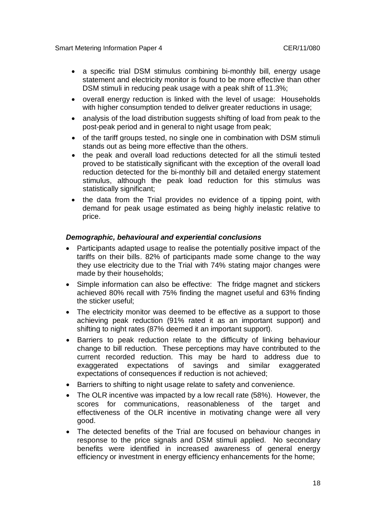- a specific trial DSM stimulus combining bi-monthly bill, energy usage statement and electricity monitor is found to be more effective than other DSM stimuli in reducing peak usage with a peak shift of 11.3%;
- overall energy reduction is linked with the level of usage: Households with higher consumption tended to deliver greater reductions in usage:
- analysis of the load distribution suggests shifting of load from peak to the post-peak period and in general to night usage from peak;
- of the tariff groups tested, no single one in combination with DSM stimuli stands out as being more effective than the others.
- the peak and overall load reductions detected for all the stimuli tested proved to be statistically significant with the exception of the overall load reduction detected for the bi-monthly bill and detailed energy statement stimulus, although the peak load reduction for this stimulus was statistically significant;
- the data from the Trial provides no evidence of a tipping point, with demand for peak usage estimated as being highly inelastic relative to price.

#### *Demographic, behavioural and experiential conclusions*

- Participants adapted usage to realise the potentially positive impact of the tariffs on their bills. 82% of participants made some change to the way they use electricity due to the Trial with 74% stating major changes were made by their households;
- Simple information can also be effective: The fridge magnet and stickers achieved 80% recall with 75% finding the magnet useful and 63% finding the sticker useful;
- The electricity monitor was deemed to be effective as a support to those achieving peak reduction (91% rated it as an important support) and shifting to night rates (87% deemed it an important support).
- Barriers to peak reduction relate to the difficulty of linking behaviour change to bill reduction. These perceptions may have contributed to the current recorded reduction. This may be hard to address due to exaggerated expectations of savings and similar exaggerated expectations of consequences if reduction is not achieved;
- Barriers to shifting to night usage relate to safety and convenience.
- The OLR incentive was impacted by a low recall rate (58%). However, the scores for communications, reasonableness of the target and effectiveness of the OLR incentive in motivating change were all very good.
- The detected benefits of the Trial are focused on behaviour changes in response to the price signals and DSM stimuli applied. No secondary benefits were identified in increased awareness of general energy efficiency or investment in energy efficiency enhancements for the home;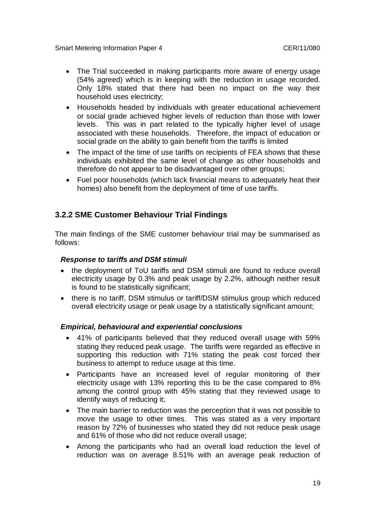- The Trial succeeded in making participants more aware of energy usage (54% agreed) which is in keeping with the reduction in usage recorded. Only 18% stated that there had been no impact on the way their household uses electricity;
- Households headed by individuals with greater educational achievement or social grade achieved higher levels of reduction than those with lower levels. This was in part related to the typically higher level of usage associated with these households. Therefore, the impact of education or social grade on the ability to gain benefit from the tariffs is limited
- The impact of the time of use tariffs on recipients of FEA shows that these individuals exhibited the same level of change as other households and therefore do not appear to be disadvantaged over other groups;
- Fuel poor households (which lack financial means to adequately heat their homes) also benefit from the deployment of time of use tariffs.

### **3.2.2 SME Customer Behaviour Trial Findings**

The main findings of the SME customer behaviour trial may be summarised as follows:

#### *Response to tariffs and DSM stimuli*

- the deployment of ToU tariffs and DSM stimuli are found to reduce overall electricity usage by 0.3% and peak usage by 2.2%, although neither result is found to be statistically significant;
- there is no tariff, DSM stimulus or tariff/DSM stimulus group which reduced overall electricity usage or peak usage by a statistically significant amount;

#### *Empirical, behavioural and experiential conclusions*

- 41% of participants believed that they reduced overall usage with 59% stating they reduced peak usage. The tariffs were regarded as effective in supporting this reduction with 71% stating the peak cost forced their business to attempt to reduce usage at this time.
- Participants have an increased level of regular monitoring of their electricity usage with 13% reporting this to be the case compared to 8% among the control group with 45% stating that they reviewed usage to identify ways of reducing it;
- The main barrier to reduction was the perception that it was not possible to move the usage to other times. This was stated as a very important reason by 72% of businesses who stated they did not reduce peak usage and 61% of those who did not reduce overall usage;
- Among the participants who had an overall load reduction the level of reduction was on average 8.51% with an average peak reduction of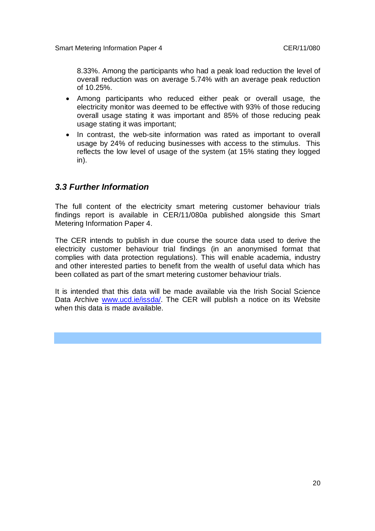8.33%. Among the participants who had a peak load reduction the level of overall reduction was on average 5.74% with an average peak reduction of 10.25%.

- Among participants who reduced either peak or overall usage, the electricity monitor was deemed to be effective with 93% of those reducing overall usage stating it was important and 85% of those reducing peak usage stating it was important;
- In contrast, the web-site information was rated as important to overall usage by 24% of reducing businesses with access to the stimulus. This reflects the low level of usage of the system (at 15% stating they logged in).

### *3.3 Further Information*

The full content of the electricity smart metering customer behaviour trials findings report is available in CER/11/080a published alongside this Smart Metering Information Paper 4.

The CER intends to publish in due course the source data used to derive the electricity customer behaviour trial findings (in an anonymised format that complies with data protection regulations). This will enable academia, industry and other interested parties to benefit from the wealth of useful data which has been collated as part of the smart metering customer behaviour trials.

It is intended that this data will be made available via the Irish Social Science Data Archive www.ucd.ie/issda/. The CER will publish a notice on its Website when this data is made available.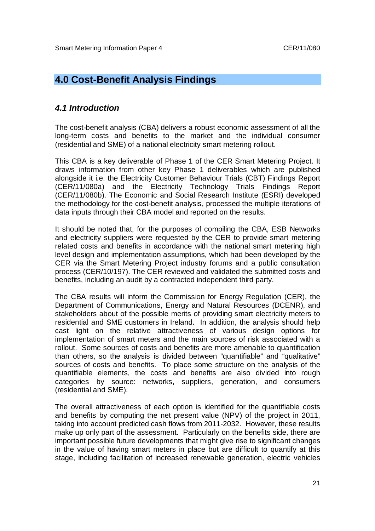# **4.0 Cost-Benefit Analysis Findings**

### *4.1 Introduction*

The cost-benefit analysis (CBA) delivers a robust economic assessment of all the long-term costs and benefits to the market and the individual consumer (residential and SME) of a national electricity smart metering rollout.

This CBA is a key deliverable of Phase 1 of the CER Smart Metering Project. It draws information from other key Phase 1 deliverables which are published alongside it i.e. the Electricity Customer Behaviour Trials (CBT) Findings Report (CER/11/080a) and the Electricity Technology Trials Findings Report (CER/11/080b). The Economic and Social Research Institute (ESRI) developed the methodology for the cost-benefit analysis, processed the multiple iterations of data inputs through their CBA model and reported on the results.

It should be noted that, for the purposes of compiling the CBA, ESB Networks and electricity suppliers were requested by the CER to provide smart metering related costs and benefits in accordance with the national smart metering high level design and implementation assumptions, which had been developed by the CER via the Smart Metering Project industry forums and a public consultation process (CER/10/197). The CER reviewed and validated the submitted costs and benefits, including an audit by a contracted independent third party.

The CBA results will inform the Commission for Energy Regulation (CER), the Department of Communications, Energy and Natural Resources (DCENR), and stakeholders about of the possible merits of providing smart electricity meters to residential and SME customers in Ireland. In addition, the analysis should help cast light on the relative attractiveness of various design options for implementation of smart meters and the main sources of risk associated with a rollout. Some sources of costs and benefits are more amenable to quantification than others, so the analysis is divided between "quantifiable" and "qualitative" sources of costs and benefits. To place some structure on the analysis of the quantifiable elements, the costs and benefits are also divided into rough categories by source: networks, suppliers, generation, and consumers (residential and SME).

The overall attractiveness of each option is identified for the quantifiable costs and benefits by computing the net present value (NPV) of the project in 2011, taking into account predicted cash flows from 2011-2032. However, these results make up only part of the assessment. Particularly on the benefits side, there are important possible future developments that might give rise to significant changes in the value of having smart meters in place but are difficult to quantify at this stage, including facilitation of increased renewable generation, electric vehicles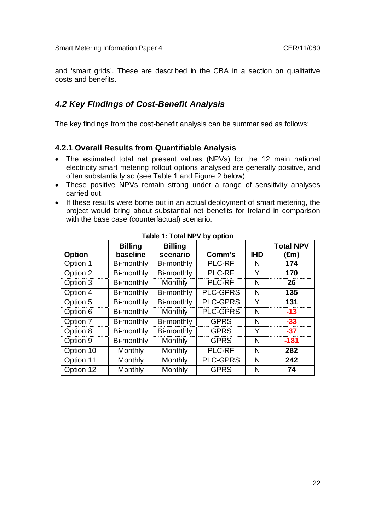and 'smart grids'. These are described in the CBA in a section on qualitative costs and benefits.

### *4.2 Key Findings of Cost-Benefit Analysis*

The key findings from the cost-benefit analysis can be summarised as follows:

#### **4.2.1 Overall Results from Quantifiable Analysis**

- The estimated total net present values (NPVs) for the 12 main national electricity smart metering rollout options analysed are generally positive, and often substantially so (see Table 1 and Figure 2 below).
- These positive NPVs remain strong under a range of sensitivity analyses carried out.
- If these results were borne out in an actual deployment of smart metering, the project would bring about substantial net benefits for Ireland in comparison with the base case (counterfactual) scenario.

| <b>Option</b> | <b>Billing</b><br>baseline | <b>Billing</b><br>scenario | Comm's          | <b>IHD</b> | <b>Total NPV</b><br>(€m) |
|---------------|----------------------------|----------------------------|-----------------|------------|--------------------------|
| Option 1      | Bi-monthly                 | Bi-monthly                 | <b>PLC-RF</b>   | N          | 174                      |
| Option 2      | Bi-monthly                 | Bi-monthly                 | <b>PLC-RF</b>   | Y          | 170                      |
| Option 3      | Bi-monthly                 | Monthly                    | <b>PLC-RF</b>   | N          | 26                       |
| Option 4      | Bi-monthly                 | Bi-monthly                 | <b>PLC-GPRS</b> | N          | 135                      |
| Option 5      | Bi-monthly                 | Bi-monthly                 | <b>PLC-GPRS</b> | Y          | 131                      |
| Option 6      | Bi-monthly                 | Monthly                    | <b>PLC-GPRS</b> | N          | $-13$                    |
| Option 7      | Bi-monthly                 | Bi-monthly                 | <b>GPRS</b>     | N          | $-33$                    |
| Option 8      | Bi-monthly                 | Bi-monthly                 | <b>GPRS</b>     | Y          | $-37$                    |
| Option 9      | Bi-monthly                 | Monthly                    | <b>GPRS</b>     | N          | $-181$                   |
| Option 10     | Monthly                    | Monthly                    | <b>PLC-RF</b>   | N          | 282                      |
| Option 11     | <b>Monthly</b>             | Monthly                    | <b>PLC-GPRS</b> | N          | 242                      |
| Option 12     | Monthly                    | Monthly                    | <b>GPRS</b>     | N          | 74                       |

**Table 1: Total NPV by option**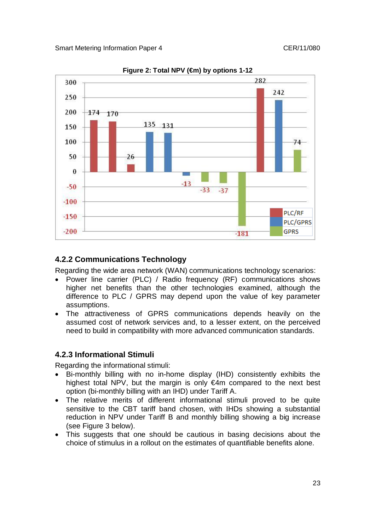

**Figure 2: Total NPV (€m) by options 1-12**

### **4.2.2 Communications Technology**

Regarding the wide area network (WAN) communications technology scenarios:

- Power line carrier (PLC) / Radio frequency (RF) communications shows higher net benefits than the other technologies examined, although the difference to PLC / GPRS may depend upon the value of key parameter assumptions.
- The attractiveness of GPRS communications depends heavily on the assumed cost of network services and, to a lesser extent, on the perceived need to build in compatibility with more advanced communication standards.

### **4.2.3 Informational Stimuli**

Regarding the informational stimuli:

- Bi-monthly billing with no in-home display (IHD) consistently exhibits the highest total NPV, but the margin is only  $\epsilon$ 4m compared to the next best option (bi-monthly billing with an IHD) under Tariff A.
- The relative merits of different informational stimuli proved to be quite sensitive to the CBT tariff band chosen, with IHDs showing a substantial reduction in NPV under Tariff B and monthly billing showing a big increase (see Figure 3 below).
- This suggests that one should be cautious in basing decisions about the choice of stimulus in a rollout on the estimates of quantifiable benefits alone.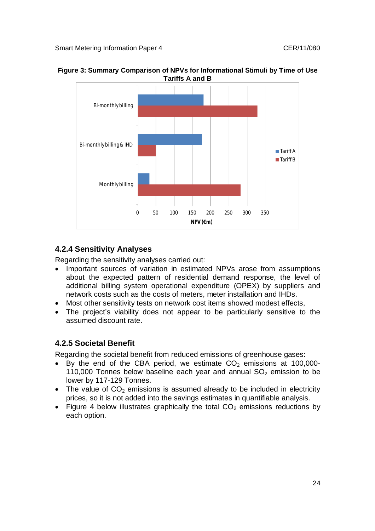

**Figure 3: Summary Comparison of NPVs for Informational Stimuli by Time of Use Tariffs A and B**

## **4.2.4 Sensitivity Analyses**

Regarding the sensitivity analyses carried out:

- Important sources of variation in estimated NPVs arose from assumptions about the expected pattern of residential demand response, the level of additional billing system operational expenditure (OPEX) by suppliers and network costs such as the costs of meters, meter installation and IHDs.
- Most other sensitivity tests on network cost items showed modest effects,
- The project's viability does not appear to be particularly sensitive to the assumed discount rate.

## **4.2.5 Societal Benefit**

Regarding the societal benefit from reduced emissions of greenhouse gases:

- $\bullet$  By the end of the CBA period, we estimate CO<sub>2</sub> emissions at 100,000-110,000 Tonnes below baseline each year and annual  $SO<sub>2</sub>$  emission to be lower by 117-129 Tonnes.
- The value of  $CO<sub>2</sub>$  emissions is assumed already to be included in electricity prices, so it is not added into the savings estimates in quantifiable analysis.
- Figure 4 below illustrates graphically the total  $CO<sub>2</sub>$  emissions reductions by each option.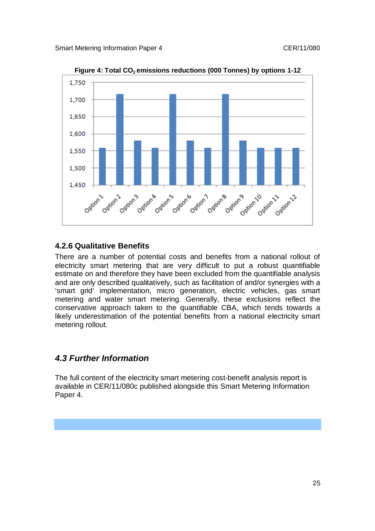

**Figure 4: Total CO2 emissions reductions (000 Tonnes) by options 1-12**

### **4.2.6 Qualitative Benefits**

There are a number of potential costs and benefits from a national rollout of electricity smart metering that are very difficult to put a robust quantifiable estimate on and therefore they have been excluded from the quantifiable analysis and are only described qualitatively, such as facilitation of and/or synergies with a 'smart grid' implementation, micro generation, electric vehicles, gas smart metering and water smart metering. Generally, these exclusions reflect the conservative approach taken to the quantifiable CBA, which tends towards a likely underestimation of the potential benefits from a national electricity smart metering rollout.

### *4.3 Further Information*

The full content of the electricity smart metering cost-benefit analysis report is available in CER/11/080c published alongside this Smart Metering Information Paper 4.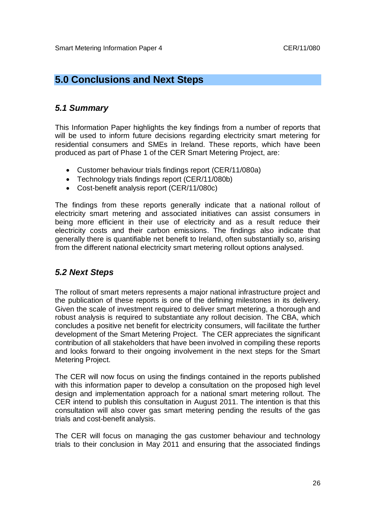# **5.0 Conclusions and Next Steps**

## *5.1 Summary*

This Information Paper highlights the key findings from a number of reports that will be used to inform future decisions regarding electricity smart metering for residential consumers and SMEs in Ireland. These reports, which have been produced as part of Phase 1 of the CER Smart Metering Project, are:

- Customer behaviour trials findings report (CER/11/080a)
- Technology trials findings report (CER/11/080b)
- Cost-benefit analysis report (CER/11/080c)

The findings from these reports generally indicate that a national rollout of electricity smart metering and associated initiatives can assist consumers in being more efficient in their use of electricity and as a result reduce their electricity costs and their carbon emissions. The findings also indicate that generally there is quantifiable net benefit to Ireland, often substantially so, arising from the different national electricity smart metering rollout options analysed.

## *5.2 Next Steps*

The rollout of smart meters represents a major national infrastructure project and the publication of these reports is one of the defining milestones in its delivery. Given the scale of investment required to deliver smart metering, a thorough and robust analysis is required to substantiate any rollout decision. The CBA, which concludes a positive net benefit for electricity consumers, will facilitate the further development of the Smart Metering Project. The CER appreciates the significant contribution of all stakeholders that have been involved in compiling these reports and looks forward to their ongoing involvement in the next steps for the Smart Metering Project.

The CER will now focus on using the findings contained in the reports published with this information paper to develop a consultation on the proposed high level design and implementation approach for a national smart metering rollout. The CER intend to publish this consultation in August 2011. The intention is that this consultation will also cover gas smart metering pending the results of the gas trials and cost-benefit analysis.

The CER will focus on managing the gas customer behaviour and technology trials to their conclusion in May 2011 and ensuring that the associated findings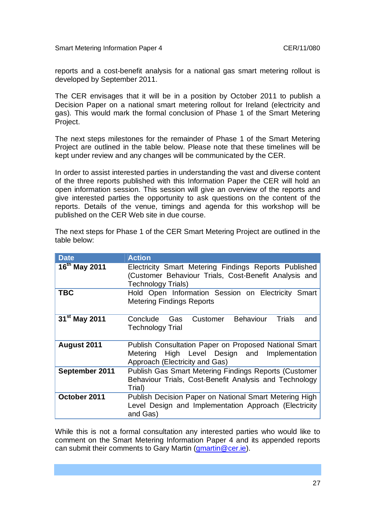reports and a cost-benefit analysis for a national gas smart metering rollout is developed by September 2011.

The CER envisages that it will be in a position by October 2011 to publish a Decision Paper on a national smart metering rollout for Ireland (electricity and gas). This would mark the formal conclusion of Phase 1 of the Smart Metering Project.

The next steps milestones for the remainder of Phase 1 of the Smart Metering Project are outlined in the table below. Please note that these timelines will be kept under review and any changes will be communicated by the CER.

In order to assist interested parties in understanding the vast and diverse content of the three reports published with this Information Paper the CER will hold an open information session. This session will give an overview of the reports and give interested parties the opportunity to ask questions on the content of the reports. Details of the venue, timings and agenda for this workshop will be published on the CER Web site in due course.

The next steps for Phase 1 of the CER Smart Metering Project are outlined in the table below:

| <b>Date</b>                   | <b>Action</b>                                                                                                                               |
|-------------------------------|---------------------------------------------------------------------------------------------------------------------------------------------|
| $\overline{16}^{th}$ May 2011 | Electricity Smart Metering Findings Reports Published<br>(Customer Behaviour Trials, Cost-Benefit Analysis and<br><b>Technology Trials)</b> |
| <b>TBC</b>                    | Hold Open Information Session on Electricity<br>Smart<br><b>Metering Findings Reports</b>                                                   |
| 31 <sup>st</sup> May 2011     | <b>Behaviour</b><br>Trials<br>Conclude<br>Customer<br>Gas<br>and<br><b>Technology Trial</b>                                                 |
| August 2011                   | Publish Consultation Paper on Proposed National Smart<br>Metering High Level Design and<br>Implementation<br>Approach (Electricity and Gas) |
| September 2011                | <b>Publish Gas Smart Metering Findings Reports (Customer</b><br>Behaviour Trials, Cost-Benefit Analysis and Technology<br>Trial)            |
| October 2011                  | Publish Decision Paper on National Smart Metering High<br>Level Design and Implementation Approach (Electricity<br>and Gas)                 |

While this is not a formal consultation any interested parties who would like to comment on the Smart Metering Information Paper 4 and its appended reports can submit their comments to Gary Martin (*gmartin@cer.ie*).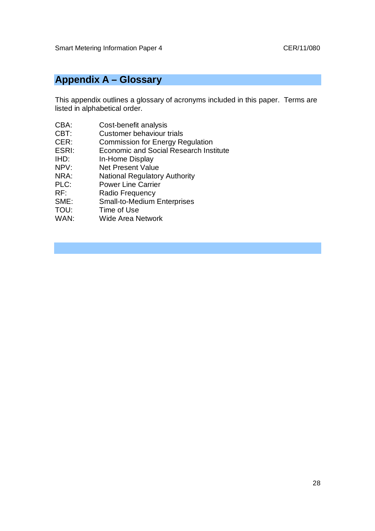# **Appendix A – Glossary**

This appendix outlines a glossary of acronyms included in this paper. Terms are listed in alphabetical order.

- CBA: Cost-benefit analysis
- CBT: Customer behaviour trials
- CER: Commission for Energy Regulation
- ESRI: Economic and Social Research Institute
- IHD: In-Home Display
- 
- NPV: Net Present Value<br>
NRA: National Regulator National Regulatory Authority
- PLC: Power Line Carrier
- RF: Radio Frequency
- SME: Small-to-Medium Enterprises
- TOU: Time of Use<br>
WAN: Wide Area N
- Wide Area Network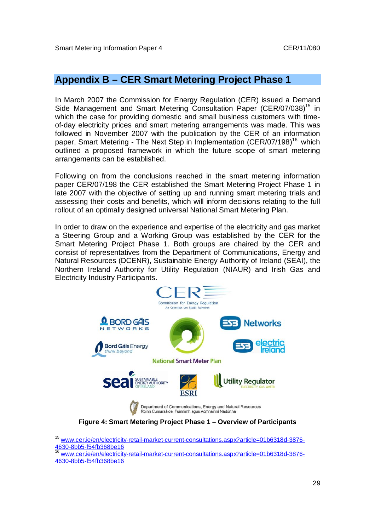## **Appendix B – CER Smart Metering Project Phase 1**

In March 2007 the Commission for Energy Regulation (CER) issued a Demand Side Management and Smart Metering Consultation Paper (CER/07/038)<sup>15</sup> in which the case for providing domestic and small business customers with timeof-day electricity prices and smart metering arrangements was made. This was followed in November 2007 with the publication by the CER of an information paper, Smart Metering - The Next Step in Implementation (CER/07/198)<sup>16,</sup> which outlined a proposed framework in which the future scope of smart metering arrangements can be established.

Following on from the conclusions reached in the smart metering information paper CER/07/198 the CER established the Smart Metering Project Phase 1 in late 2007 with the objective of setting up and running smart metering trials and assessing their costs and benefits, which will inform decisions relating to the full rollout of an optimally designed universal National Smart Metering Plan.

In order to draw on the experience and expertise of the electricity and gas market a Steering Group and a Working Group was established by the CER for the Smart Metering Project Phase 1. Both groups are chaired by the CER and consist of representatives from the Department of Communications, Energy and Natural Resources (DCENR), Sustainable Energy Authority of Ireland (SEAI), the Northern Ireland Authority for Utility Regulation (NIAUR) and Irish Gas and Electricity Industry Participants.



**Figure 4: Smart Metering Project Phase 1 – Overview of Participants**

 $\overline{a}$ 

<sup>&</sup>lt;sup>15</sup> www.cer.ie/en/electricity-retail-market-current-consultations.aspx?article=01b6318d-3876-4630-8bb5-f54fb368be16

www.cer.ie/en/electricity-retail-market-current-consultations.aspx?article=01b6318d-3876-4630-8bb5-f54fb368be16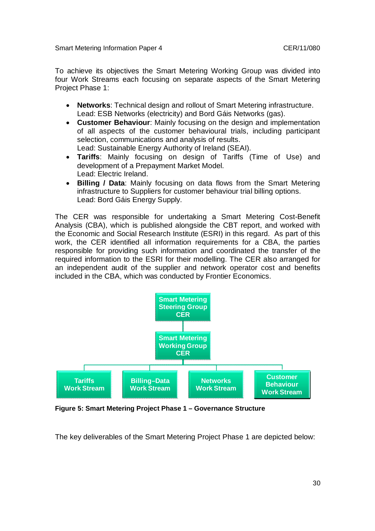To achieve its objectives the Smart Metering Working Group was divided into four Work Streams each focusing on separate aspects of the Smart Metering Project Phase 1:

- **Networks**: Technical design and rollout of Smart Metering infrastructure. Lead: ESB Networks (electricity) and Bord Gáis Networks (gas).
- **Customer Behaviour**: Mainly focusing on the design and implementation of all aspects of the customer behavioural trials, including participant selection, communications and analysis of results. Lead: Sustainable Energy Authority of Ireland (SEAI).
- **Tariffs**: Mainly focusing on design of Tariffs (Time of Use) and development of a Prepayment Market Model. Lead: Electric Ireland.
- **Billing / Data**: Mainly focusing on data flows from the Smart Metering infrastructure to Suppliers for customer behaviour trial billing options. Lead: Bord Gáis Energy Supply.

The CER was responsible for undertaking a Smart Metering Cost-Benefit Analysis (CBA), which is published alongside the CBT report, and worked with the Economic and Social Research Institute (ESRI) in this regard. As part of this work, the CER identified all information requirements for a CBA, the parties responsible for providing such information and coordinated the transfer of the required information to the ESRI for their modelling. The CER also arranged for an independent audit of the supplier and network operator cost and benefits included in the CBA, which was conducted by Frontier Economics.



**Figure 5: Smart Metering Project Phase 1 – Governance Structure**

The key deliverables of the Smart Metering Project Phase 1 are depicted below: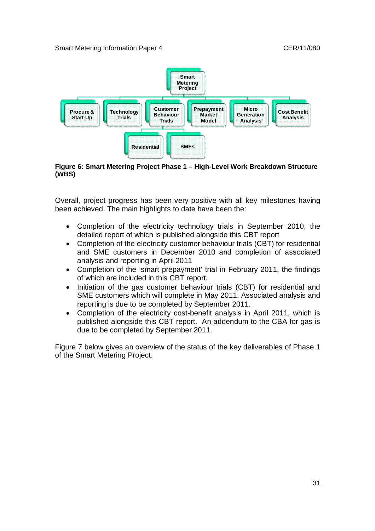

#### **Figure 6: Smart Metering Project Phase 1 – High-Level Work Breakdown Structure (WBS)**

Overall, project progress has been very positive with all key milestones having been achieved. The main highlights to date have been the:

- Completion of the electricity technology trials in September 2010, the detailed report of which is published alongside this CBT report
- Completion of the electricity customer behaviour trials (CBT) for residential and SME customers in December 2010 and completion of associated analysis and reporting in April 2011
- Completion of the 'smart prepayment' trial in February 2011, the findings of which are included in this CBT report.
- Initiation of the gas customer behaviour trials (CBT) for residential and SME customers which will complete in May 2011. Associated analysis and reporting is due to be completed by September 2011.
- Completion of the electricity cost-benefit analysis in April 2011, which is published alongside this CBT report. An addendum to the CBA for gas is due to be completed by September 2011.

Figure 7 below gives an overview of the status of the key deliverables of Phase 1 of the Smart Metering Project.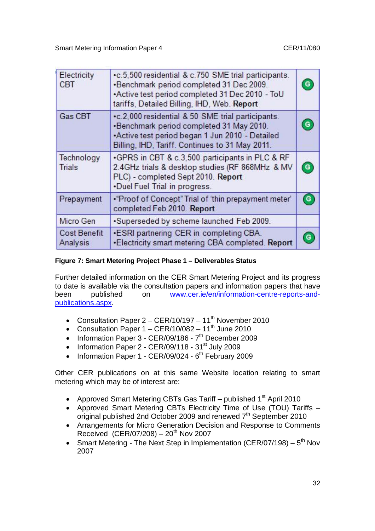| Electricity<br><b>CBT</b>       | •c.5,500 residential & c.750 SME trial participants.<br>•Benchmark period completed 31 Dec 2009.<br>•Active test period completed 31 Dec 2010 - ToU<br>tariffs, Detailed Billing, IHD, Web. Report  | G |
|---------------------------------|-----------------------------------------------------------------------------------------------------------------------------------------------------------------------------------------------------|---|
| Gas CBT                         | •c.2,000 residential & 50 SME trial participants.<br>-Benchmark period completed 31 May 2010.<br>*Active test period began 1 Jun 2010 - Detailed<br>Billing, IHD, Tariff. Continues to 31 May 2011. | G |
| Technology<br><b>Trials</b>     | •GPRS in CBT & c.3,500 participants in PLC & RF<br>2.4GHz trials & desktop studies (RF 868MHz & MV<br>PLC) - completed Sept 2010. Report<br>•Duel Fuel Trial in progress.                           | G |
| Prepayment                      | •"Proof of Concept" Trial of 'thin prepayment meter'<br>completed Feb 2010. Report                                                                                                                  | G |
| Micro Gen                       | •Superseded by scheme launched Feb 2009.                                                                                                                                                            |   |
| <b>Cost Benefit</b><br>Analysis | .ESRI partnering CER in completing CBA.<br>.Electricity smart metering CBA completed. Report                                                                                                        |   |

#### **Figure 7: Smart Metering Project Phase 1 – Deliverables Status**

Further detailed information on the CER Smart Metering Project and its progress to date is available via the consultation papers and information papers that have been published on www.cer.ie/en/information-centre-reports-andpublications.aspx.

- Consultation Paper  $2 CER/10/197 11<sup>th</sup>$  November 2010
- Consultation Paper  $1 CER/10/082 11<sup>th</sup>$  June 2010
- Information Paper 3 CER/09/186 7<sup>th</sup> December 2009
- $\bullet$  Information Paper 2 CER/09/118 31<sup>st</sup> July 2009
- Information Paper 1 CER/09/024 6<sup>th</sup> February 2009

Other CER publications on at this same Website location relating to smart metering which may be of interest are:

- Approved Smart Metering CBTs Gas Tariff published  $1<sup>st</sup>$  April 2010
- Approved Smart Metering CBTs Electricity Time of Use (TOU) Tariffs original published 2nd October 2009 and renewed 7<sup>th</sup> September 2010
- Arrangements for Micro Generation Decision and Response to Comments Received (CER/07/208) –  $20^{th}$  Nov 2007
- Smart Metering The Next Step in Implementation (CER/07/198)  $5<sup>th</sup>$  Nov 2007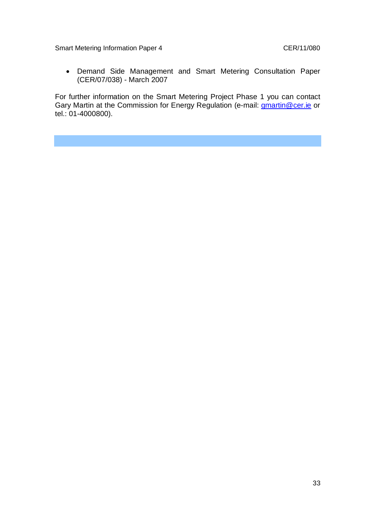Demand Side Management and Smart Metering Consultation Paper (CER/07/038) - March 2007

For further information on the Smart Metering Project Phase 1 you can contact Gary Martin at the Commission for Energy Regulation (e-mail: *gmartin@cer.ie or* tel.: 01-4000800).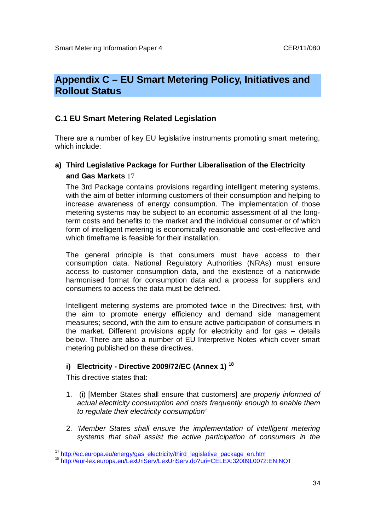# **Appendix C – EU Smart Metering Policy, Initiatives and Rollout Status**

### **C.1 EU Smart Metering Related Legislation**

There are a number of key EU legislative instruments promoting smart metering, which include:

## **a) Third Legislative Package for Further Liberalisation of the Electricity and Gas Markets** 17

The 3rd Package contains provisions regarding intelligent metering systems, with the aim of better informing customers of their consumption and helping to increase awareness of energy consumption. The implementation of those metering systems may be subject to an economic assessment of all the longterm costs and benefits to the market and the individual consumer or of which form of intelligent metering is economically reasonable and cost-effective and which timeframe is feasible for their installation.

The general principle is that consumers must have access to their consumption data. National Regulatory Authorities (NRAs) must ensure access to customer consumption data, and the existence of a nationwide harmonised format for consumption data and a process for suppliers and consumers to access the data must be defined.

Intelligent metering systems are promoted twice in the Directives: first, with the aim to promote energy efficiency and demand side management measures; second, with the aim to ensure active participation of consumers in the market. Different provisions apply for electricity and for gas – details below. There are also a number of EU Interpretive Notes which cover smart metering published on these directives.

### **i) Electricity - Directive 2009/72/EC (Annex 1) <sup>18</sup>**

This directive states that:

j

- 1. (i) [Member States shall ensure that customers] *are properly informed of actual electricity consumption and costs frequently enough to enable them to regulate their electricity consumption'*
- 2. *'Member States shall ensure the implementation of intelligent metering systems that shall assist the active participation of consumers in the*

<sup>&</sup>lt;sup>17</sup> http://ec.europa.eu/energy/gas\_electricity/third\_legislative\_package\_en.htm

<sup>18</sup> http://eur-lex.europa.eu/LexUriServ/LexUriServ.do?uri=CELEX:32009L0072:EN:NOT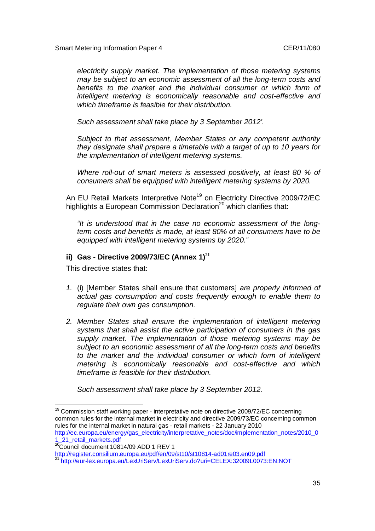*electricity supply market. The implementation of those metering systems may be subject to an economic assessment of all the long-term costs and benefits to the market and the individual consumer or which form of intelligent metering is economically reasonable and cost-effective and which timeframe is feasible for their distribution.*

*Such assessment shall take place by 3 September 2012'.* 

*Subject to that assessment, Member States or any competent authority they designate shall prepare a timetable with a target of up to 10 years for the implementation of intelligent metering systems.* 

*Where roll-out of smart meters is assessed positively, at least 80 % of consumers shall be equipped with intelligent metering systems by 2020.*

An EU Retail Markets Interpretive Note<sup>19</sup> on Electricity Directive 2009/72/EC highlights a European Commission Declaration<sup>20</sup> which clarifies that:

*"It is understood that in the case no economic assessment of the longterm costs and benefits is made, at least 80% of all consumers have to be equipped with intelligent metering systems by 2020."*

#### **ii) Gas - Directive 2009/73/EC (Annex 1)<sup>21</sup>**

This directive states that:

- *1.* (i) [Member States shall ensure that customers] *are properly informed of actual gas consumption and costs frequently enough to enable them to regulate their own gas consumption.*
- *2. Member States shall ensure the implementation of intelligent metering systems that shall assist the active participation of consumers in the gas supply market. The implementation of those metering systems may be subject to an economic assessment of all the long-term costs and benefits to the market and the individual consumer or which form of intelligent metering is economically reasonable and cost-effective and which timeframe is feasible for their distribution.*

*Such assessment shall take place by 3 September 2012.*

 $\overline{a}$ <sup>19</sup> Commission staff working paper - interpretative note on directive 2009/72/EC concerning common rules for the internal market in electricity and directive 2009/73/EC concerning common rules for the internal market in natural gas - retail markets - 22 January 2010

http://register.consilium.europa.eu/pdf/en/09/st10/st10814-ad01re03.en09.pdf

http://ec.europa.eu/energy/gas\_electricity/interpretative\_notes/doc/implementation\_notes/2010\_0 1\_21\_retail\_markets.pdf

<sup>&</sup>lt;sup>20</sup>Council document 10814/09 ADD 1 REV 1

http://eur-lex.europa.eu/LexUriServ/LexUriServ.do?uri=CELEX:32009L0073:EN:NOT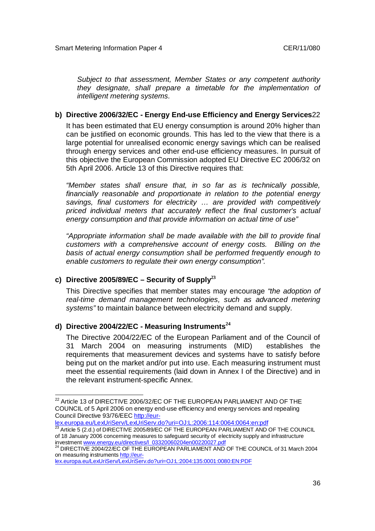*Subject to that assessment, Member States or any competent authority they designate, shall prepare a timetable for the implementation of intelligent metering systems.*

#### **b) Directive 2006/32/EC - Energy End-use Efficiency and Energy Services**22

It has been estimated that EU energy consumption is around 20% higher than can be justified on economic grounds. This has led to the view that there is a large potential for unrealised economic energy savings which can be realised through energy services and other end-use efficiency measures. In pursuit of this objective the European Commission adopted EU Directive EC 2006/32 on 5th April 2006. Article 13 of this Directive requires that:

*"Member states shall ensure that, in so far as is technically possible, financially reasonable and proportionate in relation to the potential energy savings, final customers for electricity … are provided with competitively priced individual meters that accurately reflect the final customer's actual energy consumption and that provide information on actual time of use"*

*"Appropriate information shall be made available with the bill to provide final customers with a comprehensive account of energy costs. Billing on the basis of actual energy consumption shall be performed frequently enough to enable customers to regulate their own energy consumption".*

### **c) Directive 2005/89/EC – Security of Supply<sup>23</sup>**

This Directive specifies that member states may encourage *"the adoption of*  real-time demand management technologies, such as advanced metering *systems"* to maintain balance between electricity demand and supply.

#### **d) Directive 2004/22/EC - Measuring Instruments<sup>24</sup>**

 $\overline{a}$ 

The Directive 2004/22/EC of the European Parliament and of the Council of 31 March 2004 on measuring instruments (MID) establishes the requirements that measurement devices and systems have to satisfy before being put on the market and/or put into use. Each measuring instrument must meet the essential requirements (laid down in Annex I of the Directive) and in the relevant instrument-specific Annex.

lex.europa.eu/LexUriServ/LexUriServ.do?uri=OJ:L:2006:114:0064:0064:en:pdf

 $^{23}$  Article 5 (2.d.) of DIRECTIVE 2005/89/EC OF THE EUROPEAN PARLIAMENT AND OF THE COUNCIL of 18 January 2006 concerning measures to safeguard security of electricity supply and infrastructure

 $^{22}$  Article 13 of DIRECTIVE 2006/32/EC OF THE EUROPEAN PARLIAMENT AND OF THE COUNCIL of 5 April 2006 on energy end-use efficiency and energy services and repealing Council Directive 93/76/EEC http://eur-

investment <u>www.energy.eu/directives/I\_03320060204en00220027.pdf</u><br><sup>24</sup> DIRECTIVE 2004/22/EC OF THE EUROPEAN PARLIAMENT AND OF THE COUNCIL of 31 March 2004 on measuring instruments http://eur-

lex.europa.eu/LexUriServ/LexUriServ.do?uri=OJ:L:2004:135:0001:0080:EN:PDF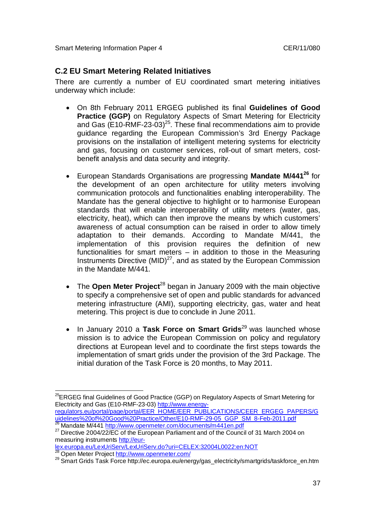### **C.2 EU Smart Metering Related Initiatives**

There are currently a number of EU coordinated smart metering initiatives underway which include:

- On 8th February 2011 ERGEG published its final **Guidelines of Good Practice (GGP)** on Regulatory Aspects of Smart Metering for Electricity and Gas  $(E10-RMF-23-03)^{25}$ . These final recommendations aim to provide guidance regarding the European Commission's 3rd Energy Package provisions on the installation of intelligent metering systems for electricity and gas, focusing on customer services, roll-out of smart meters, costbenefit analysis and data security and integrity.
- European Standards Organisations are progressing **Mandate M/441<sup>26</sup>** for the development of an open architecture for utility meters involving communication protocols and functionalities enabling interoperability. The Mandate has the general objective to highlight or to harmonise European standards that will enable interoperability of utility meters (water, gas, electricity, heat), which can then improve the means by which customers' awareness of actual consumption can be raised in order to allow timely adaptation to their demands. According to Mandate M/441, the implementation of this provision requires the definition of new functionalities for smart meters  $-$  in addition to those in the Measuring Instruments Directive (MID) $^{27}$ , and as stated by the European Commission in the Mandate M/441.
- The **Open Meter Project**<sup>28</sup> began in January 2009 with the main objective to specify a comprehensive set of open and public standards for advanced metering infrastructure (AMI), supporting electricity, gas, water and heat metering. This project is due to conclude in June 2011.
- In January 2010 a Task Force on Smart Grids<sup>29</sup> was launched whose mission is to advice the European Commission on policy and regulatory directions at European level and to coordinate the first steps towards the implementation of smart grids under the provision of the 3rd Package. The initial duration of the Task Force is 20 months, to May 2011.

lex.europa.eu/LexUriServ/LexUriServ.do?uri=CELEX:32004L0022:en:NOT

Open Meter Project http://www.openmeter.com/

 $\overline{a}$ <sup>25</sup>ERGEG final Guidelines of Good Practice (GGP) on Regulatory Aspects of Smart Metering for Electricity and Gas (E10-RMF-23-03) http://www.energyregulators.eu/portal/page/portal/EER\_HOME/EER\_PUBLICATIONS/CEER\_ERGEG\_PAPERS/G

uidelines%20of%20Good%20Practice/Other/E10-RMF-29-05\_GGP\_SM\_8-Feb-2011.pdf <sup>26</sup> Mandate M/441 http://www.openmeter.com/documents/m441en.pdf

<sup>&</sup>lt;sup>27</sup> Directive 2004/22/EC of the European Parliament and of the Council of 31 March 2004 on measuring instruments http://eur-

<sup>29</sup> Smart Grids Task Force http://ec.europa.eu/energy/gas\_electricity/smartgrids/taskforce\_en.htm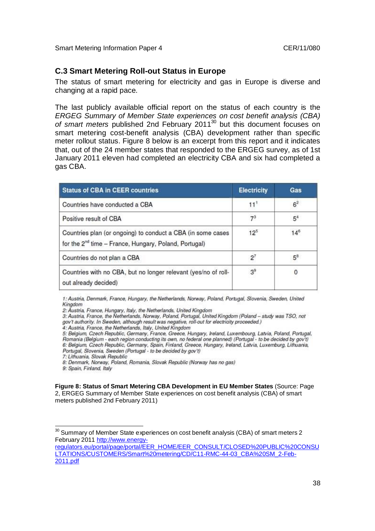### **C.3 Smart Metering Roll-out Status in Europe**

The status of smart metering for electricity and gas in Europe is diverse and changing at a rapid pace.

The last publicly available official report on the status of each country is the *ERGEG Summary of Member State experiences on cost benefit analysis (CBA) of smart meters* published 2nd February 2011<sup>30</sup> but this document focuses on smart metering cost-benefit analysis (CBA) development rather than specific meter rollout status. Figure 8 below is an excerpt from this report and it indicates that, out of the 24 member states that responded to the ERGEG survey, as of 1st January 2011 eleven had completed an electricity CBA and six had completed a gas CBA.

| <b>Status of CBA in CEER countries</b>                                                                                           | <b>Electricity</b> | Gas            |
|----------------------------------------------------------------------------------------------------------------------------------|--------------------|----------------|
| Countries have conducted a CBA                                                                                                   | 11 <sup>1</sup>    | 6 <sup>2</sup> |
| Positive result of CBA                                                                                                           | 7 <sup>3</sup>     | 5 <sup>4</sup> |
| Countries plan (or ongoing) to conduct a CBA (in some cases<br>for the 2 <sup>nd</sup> time - France, Hungary, Poland, Portugal) | 12 <sup>5</sup>    | $14^{6}$       |
| Countries do not plan a CBA                                                                                                      | $2^7$              | $5^8$          |
| Countries with no CBA, but no longer relevant (yes/no of roll-<br>out already decided)                                           | 3 <sup>9</sup>     | 0              |

1: Austria, Denmark, France, Hungary, the Netherlands, Norway, Poland, Portugal, Slovenia, Sweden, United Kingdom

7: Lithuania, Slovak Republic

8: Denmark, Norway, Poland, Romania, Slovak Republic (Norway has no gas)

9: Spain, Finland, Italy

**Figure 8: Status of Smart Metering CBA Development in EU Member States** (Source: Page 2, ERGEG Summary of Member State experiences on cost benefit analysis (CBA) of smart meters published 2nd February 2011)

<sup>2:</sup> Austria, France, Hungary, Italy, the Netherlands, United Kingdom

<sup>3:</sup> Austria, France, the Netherlands, Norway, Poland, Portugal, United Kingdom (Poland - study was TSO, not gov't authority. In Sweden, although result was negative, roll-out for electricity proceeded.)

<sup>4:</sup> Austria, France, the Netherlands, Italy, United Kingdom

<sup>5:</sup> Belgium, Czech Republic, Germany, France, Greece, Hungary, Ireland, Luxembourg, Latvia, Poland, Portugal, Romania (Belgium - each region conducting its own, no federal one planned) (Portugal - to be decided by gov't) 6: Belgium, Czech Republic, Germany, Spain, Finland, Greece, Hungary, Ireland, Latvia, Luxemburg, Lithuania, Portugal, Slovenia, Sweden (Portugal - to be decided by gov't)

j  $^{30}$  Summary of Member State experiences on cost benefit analysis (CBA) of smart meters 2 February 2011 http://www.energy-

regulators.eu/portal/page/portal/EER\_HOME/EER\_CONSULT/CLOSED%20PUBLIC%20CONSU LTATIONS/CUSTOMERS/Smart%20metering/CD/C11-RMC-44-03\_CBA%20SM\_2-Feb-2011.pdf